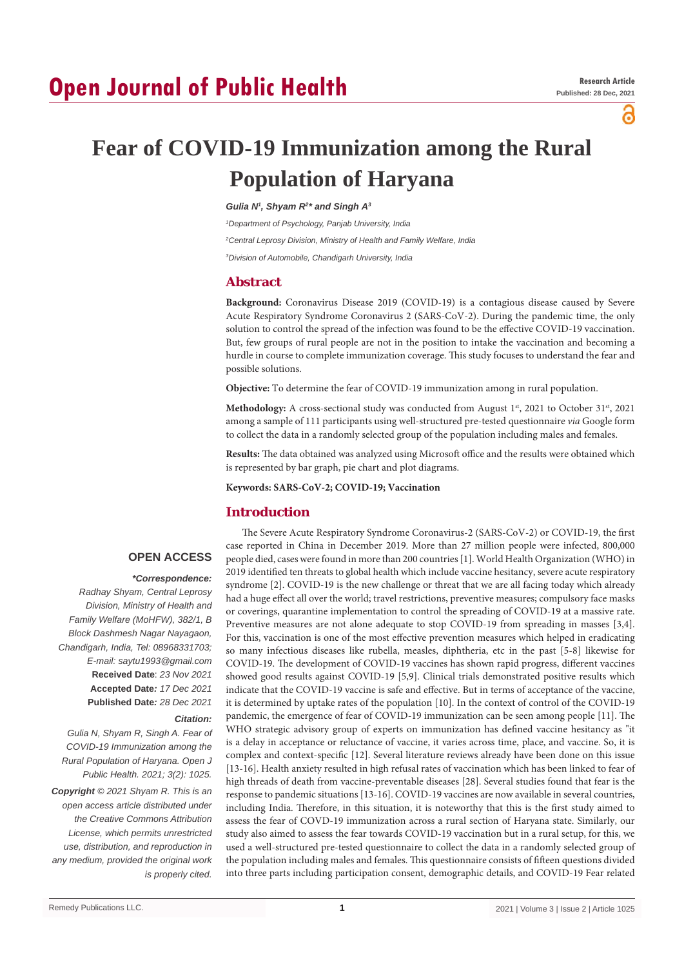# **Open Journal of Public Health**

പ്പ

## **Fear of COVID-19 Immunization among the Rural Population of Haryana**

#### *Gulia N1 , Shyam R2 \* and Singh A3*

*1 Department of Psychology, Panjab University, India*

*2 Central Leprosy Division, Ministry of Health and Family Welfare, India*

*3 Division of Automobile, Chandigarh University, India*

## **Abstract**

**Background:** Coronavirus Disease 2019 (COVID-19) is a contagious disease caused by Severe Acute Respiratory Syndrome Coronavirus 2 (SARS-CoV-2). During the pandemic time, the only solution to control the spread of the infection was found to be the effective COVID-19 vaccination. But, few groups of rural people are not in the position to intake the vaccination and becoming a hurdle in course to complete immunization coverage. This study focuses to understand the fear and possible solutions.

**Objective:** To determine the fear of COVID-19 immunization among in rural population.

Methodology: A cross-sectional study was conducted from August 1<sup>st</sup>, 2021 to October 31<sup>st</sup>, 2021 among a sample of 111 participants using well-structured pre-tested questionnaire *via* Google form to collect the data in a randomly selected group of the population including males and females.

**Results:** The data obtained was analyzed using Microsoft office and the results were obtained which is represented by bar graph, pie chart and plot diagrams.

**Keywords: SARS-CoV-2; COVID-19; Vaccination**

## **Introduction**

## **OPEN ACCESS**

#### *\*Correspondence:*

*Radhay Shyam, Central Leprosy Division, Ministry of Health and Family Welfare (MoHFW), 382/1, B Block Dashmesh Nagar Nayagaon, Chandigarh, India, Tel: 08968331703; E-mail: saytu1993@gmail.com* **Received Date**: *23 Nov 2021* **Accepted Date***: 17 Dec 2021* **Published Date***: 28 Dec 2021*

#### *Citation:*

*Gulia N, Shyam R, Singh A. Fear of COVID-19 Immunization among the Rural Population of Haryana. Open J Public Health. 2021; 3(2): 1025.*

*Copyright © 2021 Shyam R. This is an open access article distributed under the Creative Commons Attribution License, which permits unrestricted use, distribution, and reproduction in any medium, provided the original work is properly cited.*

The Severe Acute Respiratory Syndrome Coronavirus-2 (SARS-CoV-2) or COVID-19, the first case reported in China in December 2019. More than 27 million people were infected, 800,000 people died, cases were found in more than 200 countries [1]. World Health Organization (WHO) in 2019 identified ten threats to global health which include vaccine hesitancy, severe acute respiratory syndrome [2]. COVID-19 is the new challenge or threat that we are all facing today which already had a huge effect all over the world; travel restrictions, preventive measures; compulsory face masks or coverings, quarantine implementation to control the spreading of COVID-19 at a massive rate. Preventive measures are not alone adequate to stop COVID-19 from spreading in masses [3,4]. For this, vaccination is one of the most effective prevention measures which helped in eradicating so many infectious diseases like rubella, measles, diphtheria, etc in the past [5-8] likewise for COVID-19. The development of COVID-19 vaccines has shown rapid progress, different vaccines showed good results against COVID-19 [5,9]. Clinical trials demonstrated positive results which indicate that the COVID-19 vaccine is safe and effective. But in terms of acceptance of the vaccine, it is determined by uptake rates of the population [10]. In the context of control of the COVID-19 pandemic, the emergence of fear of COVID-19 immunization can be seen among people [11]. The WHO strategic advisory group of experts on immunization has defined vaccine hesitancy as "it is a delay in acceptance or reluctance of vaccine, it varies across time, place, and vaccine. So, it is complex and context-specific [12]. Several literature reviews already have been done on this issue [13-16]. Health anxiety resulted in high refusal rates of vaccination which has been linked to fear of high threads of death from vaccine-preventable diseases [28]. Several studies found that fear is the response to pandemic situations [13-16]. COVID-19 vaccines are now available in several countries, including India. Therefore, in this situation, it is noteworthy that this is the first study aimed to assess the fear of COVD-19 immunization across a rural section of Haryana state. Similarly, our study also aimed to assess the fear towards COVID-19 vaccination but in a rural setup, for this, we used a well-structured pre-tested questionnaire to collect the data in a randomly selected group of the population including males and females. This questionnaire consists of fifteen questions divided into three parts including participation consent, demographic details, and COVID-19 Fear related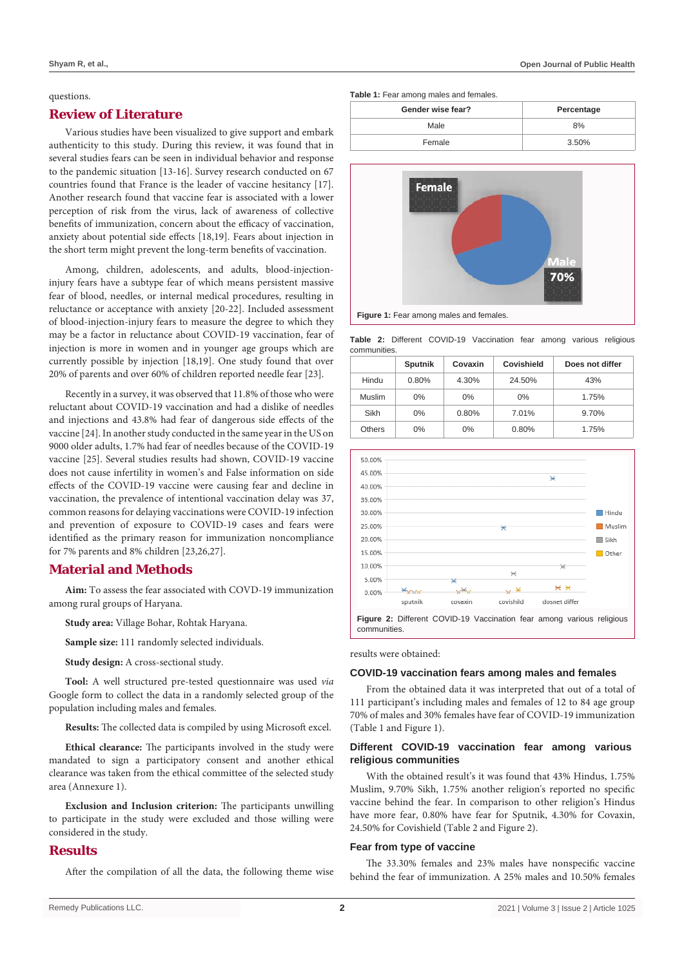#### questions.

### **Review of Literature**

Various studies have been visualized to give support and embark authenticity to this study. During this review, it was found that in several studies fears can be seen in individual behavior and response to the pandemic situation [13-16]. Survey research conducted on 67 countries found that France is the leader of vaccine hesitancy [17]. Another research found that vaccine fear is associated with a lower perception of risk from the virus, lack of awareness of collective benefits of immunization, concern about the efficacy of vaccination, anxiety about potential side effects [18,19]. Fears about injection in the short term might prevent the long-term benefits of vaccination.

Among, children, adolescents, and adults, blood-injectioninjury fears have a subtype fear of which means persistent massive fear of blood, needles, or internal medical procedures, resulting in reluctance or acceptance with anxiety [20-22]. Included assessment of blood-injection-injury fears to measure the degree to which they may be a factor in reluctance about COVID-19 vaccination, fear of injection is more in women and in younger age groups which are currently possible by injection [18,19]. One study found that over 20% of parents and over 60% of children reported needle fear [23].

Recently in a survey, it was observed that 11.8% of those who were reluctant about COVID-19 vaccination and had a dislike of needles and injections and 43.8% had fear of dangerous side effects of the vaccine [24]. In another study conducted in the same year in the US on 9000 older adults, 1.7% had fear of needles because of the COVID-19 vaccine [25]. Several studies results had shown, COVID-19 vaccine does not cause infertility in women's and False information on side effects of the COVID-19 vaccine were causing fear and decline in vaccination, the prevalence of intentional vaccination delay was 37, common reasons for delaying vaccinations were COVID-19 infection and prevention of exposure to COVID-19 cases and fears were identified as the primary reason for immunization noncompliance for 7% parents and 8% children [23,26,27].

#### **Material and Methods**

**Aim:** To assess the fear associated with COVD-19 immunization among rural groups of Haryana.

**Study area:** Village Bohar, Rohtak Haryana.

**Sample size:** 111 randomly selected individuals.

**Study design:** A cross-sectional study.

**Tool:** A well structured pre-tested questionnaire was used *via* Google form to collect the data in a randomly selected group of the population including males and females.

**Results:** The collected data is compiled by using Microsoft excel.

**Ethical clearance:** The participants involved in the study were mandated to sign a participatory consent and another ethical clearance was taken from the ethical committee of the selected study area (Annexure 1).

**Exclusion and Inclusion criterion:** The participants unwilling to participate in the study were excluded and those willing were considered in the study.

## **Results**

After the compilation of all the data, the following theme wise

**Table 1:** Fear among males and females.

| Gender wise fear? | Percentage |  |
|-------------------|------------|--|
| Male              | 8%         |  |
| Female            | 3.50%      |  |



**Figure 1:** Fear among males and females.

**Table 2:** Different COVID-19 Vaccination fear among various religious communities.

|        | <b>Sputnik</b> | Covaxin | Covishield | Does not differ |
|--------|----------------|---------|------------|-----------------|
| Hindu  | 0.80%          | 4.30%   | 24.50%     | 43%             |
| Muslim | $0\%$          | $0\%$   | $0\%$      | 1.75%           |
| Sikh   | $0\%$          | 0.80%   | 7.01%      | 9.70%           |
| Others | $0\%$          | $0\%$   | 0.80%      | 1.75%           |



results were obtained:

#### **COVID-19 vaccination fears among males and females**

From the obtained data it was interpreted that out of a total of 111 participant's including males and females of 12 to 84 age group 70% of males and 30% females have fear of COVID-19 immunization (Table 1 and Figure 1).

#### **Different COVID-19 vaccination fear among various religious communities**

With the obtained result's it was found that 43% Hindus, 1.75% Muslim, 9.70% Sikh, 1.75% another religion's reported no specific vaccine behind the fear. In comparison to other religion's Hindus have more fear, 0.80% have fear for Sputnik, 4.30% for Covaxin, 24.50% for Covishield (Table 2 and Figure 2).

#### **Fear from type of vaccine**

The 33.30% females and 23% males have nonspecific vaccine behind the fear of immunization. A 25% males and 10.50% females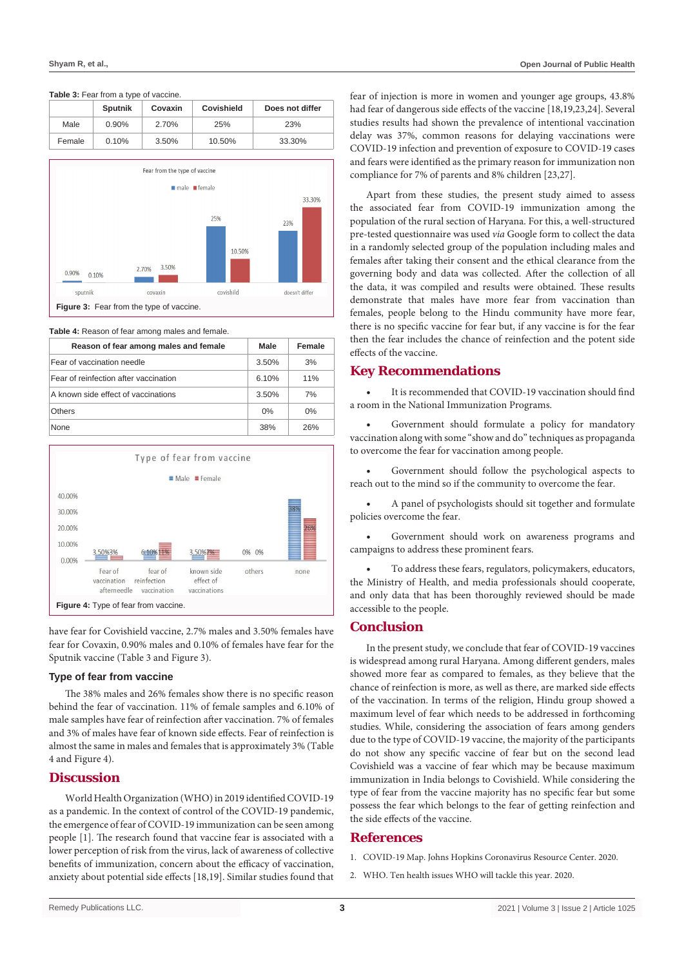#### **Table 3:** Fear from a type of vaccine

|        | <b>Sputnik</b> | Covaxin | Covishield | Does not differ |
|--------|----------------|---------|------------|-----------------|
| Male   | $0.90\%$       | 2.70%   | 25%        | 23%             |
| Female | 0.10%          | 3.50%   | 10.50%     | 33.30%          |



**Table 4:** Reason of fear among males and female.

| Reason of fear among males and female | <b>Male</b> | Female |
|---------------------------------------|-------------|--------|
| Fear of vaccination needle            | 3.50%       | 3%     |
| Fear of reinfection after vaccination | 6.10%       | 11%    |
| A known side effect of vaccinations   | 3.50%       | 7%     |
| Others                                | $0\%$       | $0\%$  |
| <b>None</b>                           | 38%         | 26%    |



have fear for Covishield vaccine, 2.7% males and 3.50% females have fear for Covaxin, 0.90% males and 0.10% of females have fear for the Sputnik vaccine (Table 3 and Figure 3).

#### **Type of fear from vaccine**

The 38% males and 26% females show there is no specific reason behind the fear of vaccination. 11% of female samples and 6.10% of male samples have fear of reinfection after vaccination. 7% of females and 3% of males have fear of known side effects. Fear of reinfection is almost the same in males and females that is approximately 3% (Table 4 and Figure 4).

## **Discussion**

World Health Organization (WHO) in 2019 identified COVID-19 as a pandemic. In the context of control of the COVID-19 pandemic, the emergence of fear of COVID-19 immunization can be seen among people [1]. The research found that vaccine fear is associated with a lower perception of risk from the virus, lack of awareness of collective benefits of immunization, concern about the efficacy of vaccination, anxiety about potential side effects [18,19]. Similar studies found that

fear of injection is more in women and younger age groups, 43.8% had fear of dangerous side effects of the vaccine [18,19,23,24]. Several studies results had shown the prevalence of intentional vaccination delay was 37%, common reasons for delaying vaccinations were COVID-19 infection and prevention of exposure to COVID-19 cases and fears were identified as the primary reason for immunization non compliance for 7% of parents and 8% children [23,27].

Apart from these studies, the present study aimed to assess the associated fear from COVID-19 immunization among the population of the rural section of Haryana. For this, a well-structured pre-tested questionnaire was used *via* Google form to collect the data in a randomly selected group of the population including males and females after taking their consent and the ethical clearance from the governing body and data was collected. After the collection of all the data, it was compiled and results were obtained. These results demonstrate that males have more fear from vaccination than females, people belong to the Hindu community have more fear, there is no specific vaccine for fear but, if any vaccine is for the fear then the fear includes the chance of reinfection and the potent side effects of the vaccine.

### **Key Recommendations**

It is recommended that COVID-19 vaccination should find a room in the National Immunization Programs.

Government should formulate a policy for mandatory vaccination along with some "show and do" techniques as propaganda to overcome the fear for vaccination among people.

Government should follow the psychological aspects to reach out to the mind so if the community to overcome the fear.

A panel of psychologists should sit together and formulate policies overcome the fear.

Government should work on awareness programs and campaigns to address these prominent fears.

To address these fears, regulators, policymakers, educators, the Ministry of Health, and media professionals should cooperate, and only data that has been thoroughly reviewed should be made accessible to the people.

## **Conclusion**

In the present study, we conclude that fear of COVID-19 vaccines is widespread among rural Haryana. Among different genders, males showed more fear as compared to females, as they believe that the chance of reinfection is more, as well as there, are marked side effects of the vaccination. In terms of the religion, Hindu group showed a maximum level of fear which needs to be addressed in forthcoming studies. While, considering the association of fears among genders due to the type of COVID-19 vaccine, the majority of the participants do not show any specific vaccine of fear but on the second lead Covishield was a vaccine of fear which may be because maximum immunization in India belongs to Covishield. While considering the type of fear from the vaccine majority has no specific fear but some possess the fear which belongs to the fear of getting reinfection and the side effects of the vaccine.

## **References**

- 1. [COVID-19 Map. Johns Hopkins Coronavirus Resource Center. 2020.](https://coronavirus.jhu.edu/map.html)
- 2. [WHO. Ten health issues WHO will tackle this year. 2020](https://www.who.int/news-room/spotlight/ten-threats-to-global-health-in-2019).